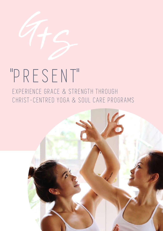

# "PRESENT" EXPERIENCE GRACE & STRENGTH THROUGH

CHRIST-CENTRED YOGA & SOUL CARE PROGRAMS

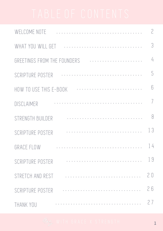| WELCOME NOTE                | $\overline{2}$   |
|-----------------------------|------------------|
|                             | 3                |
| GREETINGS FROM THE FOUNDERS | $\frac{1}{4}$    |
| SCRIPTURE POSTER            | 5                |
| HOW TO USE THIS E-BOOK      | $6 \overline{)}$ |
| DISCLAIMER                  | $\overline{ }$   |
| STRENGTH BUILDER            | 8                |
| SCRIPTURE POSTER            | 13               |
| <b>GRACE FLOW</b>           | $\mid$ 4         |
| .<br>SCRIPTURE POSTER       | 19               |
| STRETCH AND REST<br>.       | 20               |
| .<br>SCRIPTURE POSTER       | 26               |
| THANK YOU                   | 27               |

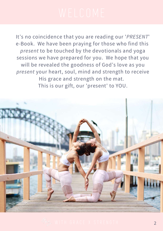It's no coincidence that you are reading our 'PRESENT' e-Book. We have been praying for those who find this present to be touched by the devotionals and yoga sessions we have prepared for you. We hope that you will be revealed the goodness of God's love as you present your heart, soul, mind and strength to receive His grace and strength on the mat. This is our gift, our 'present' to YOU.



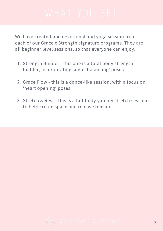We have created one devotional and yoga session from each of our Grace x Strength signature programs. They are all beginner level sessions, so that everyone can enjoy.

- 1. Strength Builder this one is a total body strength builder, incorporating some 'balancing' poses
- 2. Grace Flow this is a dance-like session, with a focus on 'heart opening' poses
- Stretch & Rest this is a full-body yummy stretch session, 3. to help create space and release tension.

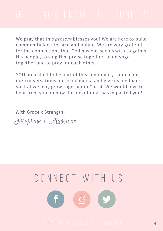We pray that this present blesses you! We are here to build community face-to-face and online. We are very grateful for the connections that God has blessed us with to gather His people, to sing Him praise together, to do yoga together and to pray for each other.

YOU are called to be part of this community. Join in on our conversations on social media and give us feedback, so that we may grow together in Christ. We would love to hear from you on how this devotional has impacted you!

Josephine + Alyssa xx With Grace x Strength,

## CONNECT WITH US!

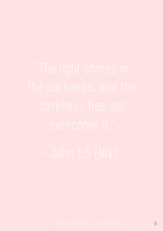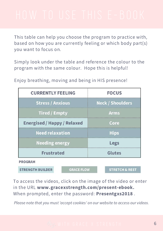This table can help you choose the program to practice with, based on how you are currently feeling or which body part(s) you want to focus on.

Simply look under the table and reference the colour to the program with the same colour. Hope this is helpful!

Enjoy breathing, moving and being in HIS presence!

| <b>CURRENTLY FEELING</b>                     | <b>FOCUS</b>              |  |
|----------------------------------------------|---------------------------|--|
| <b>Stress / Anxious</b>                      | <b>Neck / Shoulders</b>   |  |
| <b>Tired / Empty</b>                         | <b>Arms</b>               |  |
| <b>Energised / Happy / Relaxed</b>           | Core                      |  |
| <b>Need relaxation</b>                       | <b>Hips</b>               |  |
| <b>Needing energy</b>                        | Legs                      |  |
| <b>Frustrated</b>                            | <b>Glutes</b>             |  |
| <b>PROGRAM</b>                               |                           |  |
| <b>STRENGTH BUILDER</b><br><b>GRACE FLOW</b> | <b>STRETCH &amp; REST</b> |  |

To access the videos, click on the image of the video or enter in the URL [www.gracexstrength.com/present-ebook.](http://www.gracexstrength.com/present-ebook) When prompted, enter the password: Presentgxs2018.

Please note that you must 'accept cookies' on our website to access our videos.

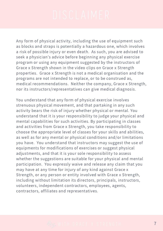Any form of physical activity, including the use of equipment such as blocks and straps is potentially a hazardous one, which involves a risk of possible injury or even death. As such, you are advised to seek a physician's advice before beginning any physical exercise program or using any equipment suggested by the instructors of Grace x Strength shown in the video clips on Grace x Strength properties. Grace x Strength is not a medical organisation and the programs are not intended to replace, or to be construed as, medical recommendations. Neither the company, Grace x Strength, nor its instructors/representatives can give medical diagnosis.

You understand that any form of physical exercise involves strenuous physical movement, and that partaking in any such activity bears the risk of injury whether physical or mental. You understand that it is your responsibility to judge your physical and mental capabilities for such activities. By participating in classes and activities from Grace x Strength, you take responsibility to choose the appropriate level of classes for your skills and abilities, as well as for any mental or physical conditions and/or limitations you have. You understand that instructors may suggest the use of equipments for modifications of exercises or suggest physical adjustments, and that it is your sole responsibility to assess whether the suggestions are suitable for your physical and mental participation. You expressly waive and release any claim that you may have at any time for injury of any kind against Grace x Strength, or any person or entity involved with Grace x Strength, including without limitation its directors, principals, instructors, volunteers, independent contractors, employees, agents, contractors, affiliates and representatives.

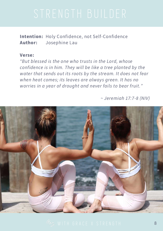Intention: Holy Confidence, not Self-Confidence Author: Josephine Lau

### Verse:

"But blessed is the one who trusts in the Lord, whose confidence is in him. They will be like a tree planted by the water that sends out its roots by the stream. It does not fear when heat comes; its leaves are always green. It has no worries in a year of drought and never fails to bear fruit."

 $\sim$  Jeremiah 17:7-8 (NIV)



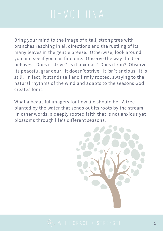Bring your mind to the image of a tall, strong tree with branches reaching in all directions and the rustling of its many leaves in the gentle breeze. Otherwise, look around you and see if you can find one. Observe the way the tree behaves. Does it strive? Is it anxious? Does it run? Observe its peaceful grandeur. It doesn't strive. It isn't anxious. It is still. In fact, it stands tall and firmly rooted, swaying to the natural rhythms of the wind and adapts to the seasons God creates for it.

What a beautiful imagery for how life should be. A tree planted by the water that sends out its roots by the stream. In other words, a deeply rooted faith that is not anxious yet blossoms through life's different seasons.



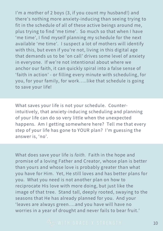I'm a mother of 2 boys (3, if you count my husband!) and there's nothing more anxiety-inducing than seeing trying to fit in the schedule of all of these active beings around me, plus trying to find 'me time'. So much so that when I have 'me time' , I find myself planning my schedule for the next available 'me time'. I suspect a lot of mothers will identify with this, but even if you're not, living in this digital age that demands us to be 'on call' drives some level of anxiety in everyone. If we're not intentional about where we anchor our faith, it can quickly spiral into a false sense of 'faith in action' - or filling every minute with scheduling, for you, for your family, for work…..like that schedule is going to save your life!

What saves your life is not your schedule. Counterintuitively, that anxiety-inducing scheduling and planning of your life can do so very little when the unexpected happens. Am I getting somewhere here? Tell me that every step of your life has gone to YOUR plan? I'm guessing the answer is, 'no'.

What does save your life is faith. Faith in the hope and promise of a loving Father and Creator, whose plan is better than yours and whose love is probably greater than what you have for Him. Yet, He still loves and has better plans for you. What you need is not another plan on how to reciprocate His love with more doing, but just like the image of that tree. Stand tall, deeply rooted, swaying to the seasons that He has already planned for you. And your 'leaves are always green….and you have will have no worries in a year of drought and never fails to bear fruit.'

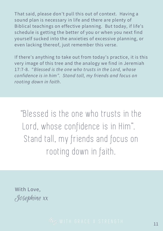That said, please don't pull this out of context. Having a sound plan is necessary in life and there are plenty of Biblical teachings on effective planning. But today, if life's schedule is getting the better of you or when you next find yourself sucked into the anxieties of excessive planning, or even lacking thereof, just remember this verse.

If there's anything to take out from today's practice, it is this very image of this tree and the analogy we find in Jeremiah 17:7-8. "Blessed is the one who trusts in the Lord, whose confidence is in him". Stand tall, my friends and focus on rooting down in faith.

"Blessed is the one who trusts in the Lord, whose confidence is in Him ". Stand tall, my friends and focus on rooting down in faith.

Josephine xx With Love,

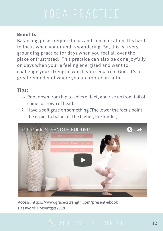## Benefits:

Balancing poses require focus and concentration. It's hard to focus when your mind is wandering. So, this is a very grounding practice for days when you feel all over the place or frustrated. This practice can also be done joyfully on days when you're feeling energised and want to challenge your strength, which you seek from God. It's a great reminder of where you are rooted in faith.

## Tips:

- 1. Root down from hip to soles of feet, and rise up from tail of spine to crown of head.
- 2. Have a soft gaze on something (The lower the focus point, the easier to balance. The higher, the harder)



Access: <https://www.gracexstrength.com/present-ebook> Password: Presentgxs2018

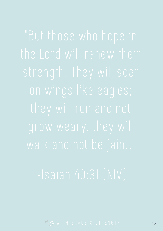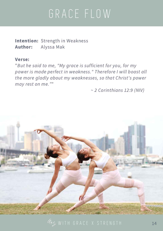# GRACE FLOW

Intention: Strength in Weakness Author: Alyssa Mak

### Verse:

"But he said to me, "My grace is sufficient for you, for my power is made perfect in weakness." Therefore I will boast all the more gladly about my weaknesses, so that Christ's power may rest on me.""

~ 2 Corinthians 12:9 (NIV)



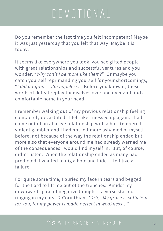# DEVOT IONAL

Do you remember the last time you felt incompetent? Maybe it was just yesterday that you felt that way. Maybe it is today.

It seems like everywhere you look, you see gifted people with great relationships and successful ventures and you wonder, "Why can't I be more like them?" Or maybe you catch yourself reprimanding yourself for your shortcomings, "I did it again.... I'm hopeless." Before you know it, these words of defeat replay themselves over and over and find a comfortable home in your head.

I remember walking out of my previous relationship feeling completely devastated. I felt like I messed up again. I had come out of an abusive relationship with a hot- tempered, violent gambler and I had not felt more ashamed of myself before; not because of the way the relationship ended but more also that everyone around me had already warned me of the consequences I would find myself in. But, of course, I didn't listen. When the relationship ended as many had predicted, I wanted to dig a hole and hide. I felt like a failure.

For quite some time, I buried my face in tears and begged for the Lord to lift me out of the trenches. Amidst my downward spiral of negative thoughts, a verse started ringing in my ears - 2 Corinthians 12:9, "My grace is sufficient for you, for my power is made perfect in weakness…"

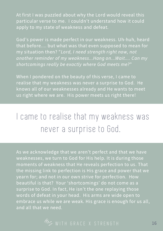At first I was puzzled about why the Lord would reveal this particular verse to me. I couldn't understand how it could apply to my state of weakness and defeat.

God's power is made perfect in our weakness. Uh-huh, heard that before.... but what was that even supposed to mean for my situation then? "Lord, I need strength right now, not another reminder of my weakness...Hang on...Wait.... Can my shortcomings really be exactly where God meets me?"

When I pondered on the beauty of this verse, I came to realise that my weakness was never a surprise to God. He knows all of our weaknesses already and He wants to meet us right where we are. His power meets us right there!

## I came to realise that my weakness was never a surprise to God.

As we acknowledge that we aren't perfect and that we have weaknesses, we turn to God for His help. It is during those moments of weakness that He reveals perfection to us. That the missing link to perfection is His grace and power that we yearn for; and not in our own strive for perfection. How beautiful is that? Your 'shortcomings' do not come as a surprise to God. In fact, He isn't the one replaying those words of defeat in your head. His arms are wide open to embrace us while we are weak. His grace is enough for us all, and all that we need.

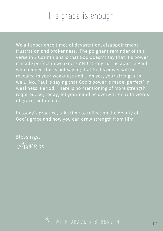## His grace is enough

We all experience times of devastation, disappointment, frustration and brokenness. The poignant reminder of this verse in 2 Corinthians is that God doesn't say that His power is made perfect in weakness AND strength. The apostle Paul who penned this is not saying that God's power will be revealed in your weakness and... oh yes, your strength as well. No, Paul is saying that God's power is made 'perfect' in weakness. Period. There is no mentioning of more strength required. So, today, let your mind be overwritten with words of grace, not defeat.

In today's practice, take time to reflect on the beauty of God's grace and how you can draw strength from Him.

Alyssa xx Blessings,

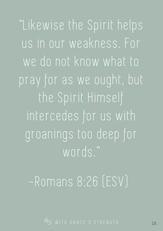"Likewise the Spirit helps us in our weakness. For we do not know what to pray for as we ought, but the Spirit Himself intercedes for us with groanings too deep for words."

# ~Romans 8:26 (ESV)

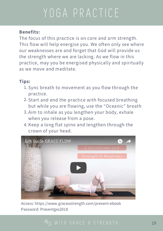# YOGA PRACTICE

### Benefits:

The focus of this practice is on core and arm strength. This flow will help energise you. We often only see where our weaknesses are and forget that God will provide us the strength where we are lacking. As we flow in this practice, may you be energised physically and spiritually as we move and meditate.

### Tips:

- 1. Sync breath to movement as you flow through the practice.
- 2. Start and end the practice with focused breathing but while you are flowing, use the "Oceanic" breath
- 3. Aim to inhale as you lengthen your body, exhale when you release from a pose.
- 4. Keep a long flat spine and lengthen through the crown of your head.



Access: <https://www.gracexstrength.com/present-ebook> Password: Presentgxs2018

## 45 WITH GRACE X STRENGTH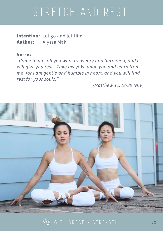# STRETCH AND REST

Intention: Let go and let Him Author: Alyssa Mak

### Verse:

"Come to me, all you who are weary and burdened, and I will give you rest. Take my yoke upon you and learn from me, for I am gentle and humble in heart, and you will find rest for your souls."

~Matthew 11:28-29 (NIV)



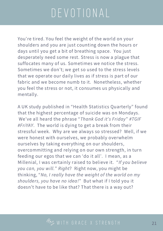# DEVOT IONAL

You're tired. You feel the weight of the world on your shoulders and you are just counting down the hours or days until you get a bit of breathing space. You just desperately need some rest. Stress is now a plague that suffocates many of us. Sometimes we notice the stress. Sometimes we don't; we get so used to the stress levels that we operate our daily lives as if stress is part of our fabric and we become numb to it. Nonetheless, whether you feel the stress or not, it consumes us physically and mentally.

A UK study published in "Health Statistics Quarterly" found that the highest percentage of suicide was on Mondays. We've all heard the phrase "Thank God it's Friday" #TGIF #FriYAY. The world is dying to get a break from their stressful week. Why are we always so stressed? Well, if we were honest with ourselves, we probably overwhelm ourselves by taking everything on our shoulders, overcommitting and relying on our own strength, in turn feeding our egos that we can 'do it all'. I mean, as a Millenial, I was certainly raised to believe it. "If you believe you can, you will." Right? Right now, you might be thinking, "No, I really have the weight of the world on my shoulders, you have no idea!" But what if I told you it doesn't have to be like that? That there is a way out?

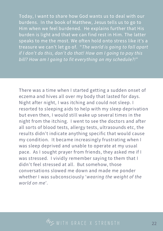Today, I want to share how God wants us to deal with our burdens. In the book of Matthew, Jesus tells us to go to Him when we feel burdened. He explains further that His burden is light and that we can find rest in Him. The latter speaks to me the most. We often hold onto stress like it's a treasure we can't let go of. "The world is going to fall apart if I don't do this, don't do that! How am I going to pay this bill? How am I going to fit everything on my schedule?!"

There was a time when I started getting a sudden onset of eczema and hives all over my body that lasted for days. Night after night, I was itching and could not sleep. I resorted to sleeping aids to help with my sleep deprivation but even then, I would still wake up several times in the night from the itching. I went to see the doctors and after all sorts of blood tests, allergy tests, ultrasounds etc, the results didn't indicate anything specific that would cause my condition. It became increasingly frustrating when I was sleep deprived and unable to operate at my usual pace. As I sought prayer from friends, they asked me if I was stressed. I vividly remember saying to them that I didn't feel stressed at all. But somehow, those conversations slowed me down and made me ponder whether I was subconsciously 'wearing the weight of the world on me'.

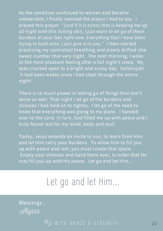As the condition continued to worsen and became unbearable, I finally realised the prayer I had to say. I prayed this prayer. "Lord if it is stress that is keeping me up all night with this itching skin, I just want to let go of these burdens at your feet right now. Everything that I have been trying to hold onto, I just give it to you." I then started practicing my controlled breathing and slowly drifted into sweet slumber that very night. The next morning, I woke to the most pleasant feeling after a full night's sleep. My eyes cracked open to a bright and sunny day. Hallelujah! It had been weeks since I had slept through the entire night!

There is so much power in letting go of things that don't serve us well. That night I let go of the burdens and stresses I had held on to tightly. I let go of the need to know that everything was going to my plans. I handed over to the Lord. In turn, God filled me up with peace and I truly found rest for my mind, body and soul.

Today, Jesus extends an invite to you, to learn from Him and let Him carry your burdens. To allow Him to fill you up with peace and rest, you must create that space. Empty your stresses and hand them over, in order that He may fill you up with His peace. Let go and let Him...

## Let go and let Him...

Alyssa Blessings ,

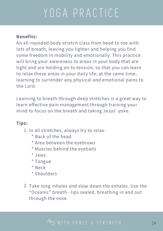# YOGA PRACTICE

## Benefits:

An all-rounded body stretch class from head to toe with lots of breath, leaving you lighter and helping you find some freedom in mobility and emotionally. This practice will bring your awareness to areas in your body that are tight and are holding on to tension, so that you can learn to relax those areas in your daily life; at the same time, learning to surrender any physical and emotional pains to the Lord.

Learning to breath through deep stretches is a great way to learn effective pain management through training your mind to focus on the breath and taking Jesus' yoke.

## Tips:

- 1. In all stretches, always try to relax:
	- \* Back of the head
	- \* Area between the eyebrows
	- \* Muscles behind the eyeballs
	- \* Jaws
	- \* Tongue
	- \* Neck
	- \* Shoulders
- 2. Take long inhales and slow down the exhales. Use the "Oceanic" breath - lips sealed, breathing in and out through the nose.

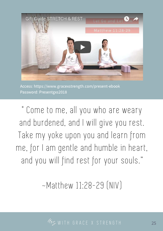

Access: <https://www.gracexstrength.com/present-ebook> Password: Presentgxs2018

Come to me, all you who are weary and burdened, and I will give you rest. Take my yoke upon you and learn from me, for I am gentle and humble in heart, and you will find rest for your souls."

~Matthew 11:28-29 (NIV)

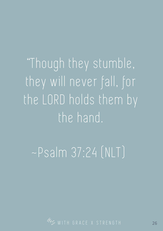"Though they stumble, they will never fall, for the LORD holds them by the hand.

~Psalm 37:24 (NLT)